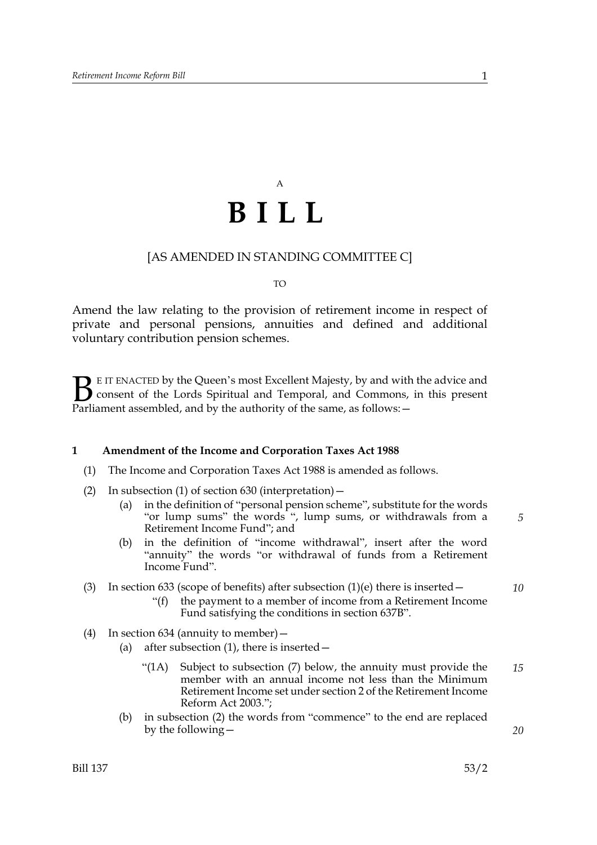# A **BILL**

## [AS AMENDED IN STANDING COMMITTEE C]

#### TO

Amend the law relating to the provision of retirement income in respect of private and personal pensions, annuities and defined and additional voluntary contribution pension schemes.

E IT ENACTED by the Queen's most Excellent Majesty, by and with the advice and consent of the Lords Spiritual and Temporal, and Commons, in this present **B** E IT ENACTED by the Queen's most Excellent Majesty, by and with consent of the Lords Spiritual and Temporal, and Commons, Parliament assembled, and by the authority of the same, as follows:  $-$ 

#### **1 Amendment of the Income and Corporation Taxes Act 1988**

- (1) The Income and Corporation Taxes Act 1988 is amended as follows.
- (2) In subsection (1) of section  $630$  (interpretation)  $-$ 
	- (a) in the definition of "personal pension scheme", substitute for the words "or lump sums" the words ", lump sums, or withdrawals from a Retirement Income Fund"; and
	- (b) in the definition of "income withdrawal", insert after the word "annuity" the words "or withdrawal of funds from a Retirement Income Fund".

### (3) In section 633 (scope of benefits) after subsection  $(1)(e)$  there is inserted –

- "(f) the payment to a member of income from a Retirement Income Fund satisfying the conditions in section 637B".
- (4) In section 634 (annuity to member)—
	- (a) after subsection  $(1)$ , there is inserted  $-$ 
		- "(1A) Subject to subsection (7) below, the annuity must provide the member with an annual income not less than the Minimum Retirement Income set under section 2 of the Retirement Income Reform Act 2003."; *15*
	- (b) in subsection (2) the words from "commence" to the end are replaced by the following—

*20*

*5*

*10*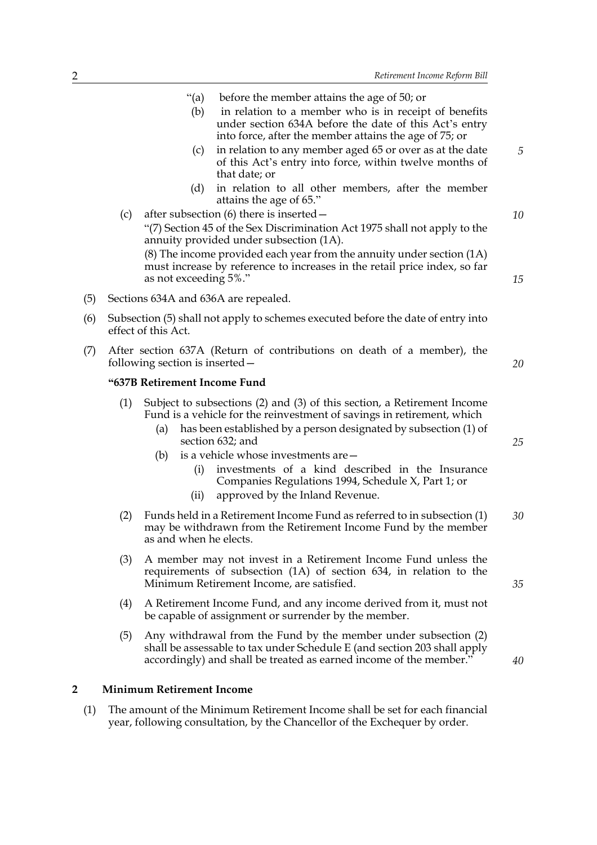| "(a)              | before the member attains the age of 50; or                                                                                                                               |
|-------------------|---------------------------------------------------------------------------------------------------------------------------------------------------------------------------|
| (b)               | in relation to a member who is in receipt of benefits<br>under section 634A before the date of this Act's entry<br>into force, after the member attains the age of 75; or |
| $\left( c\right)$ | in relation to any member aged 65 or over as at the date<br>of this Act's entry into force, within twelve months of<br>that date; or                                      |
| (d)               | in relation to all other members, after the member<br>$\cdots$ $\cdots$                                                                                                   |

- attains the age of 65." (c) after subsection (6) there is inserted— "(7) Section 45 of the Sex Discrimination Act 1975 shall not apply to the annuity provided under subsection (1A). (8) The income provided each year from the annuity under section (1A) must increase by reference to increases in the retail price index, so far as not exceeding 5%."
- (5) Sections 634A and 636A are repealed.
- (6) Subsection (5) shall not apply to schemes executed before the date of entry into effect of this Act.
- (7) After section 637A (Return of contributions on death of a member), the following section is inserted—

#### **"637B Retirement Income Fund**

- (1) Subject to subsections (2) and (3) of this section, a Retirement Income Fund is a vehicle for the reinvestment of savings in retirement, which
	- (a) has been established by a person designated by subsection (1) of section 632; and
	- (b) is a vehicle whose investments are—
		- (i) investments of a kind described in the Insurance Companies Regulations 1994, Schedule X, Part 1; or
		- (ii) approved by the Inland Revenue.
- (2) Funds held in a Retirement Income Fund as referred to in subsection (1) may be withdrawn from the Retirement Income Fund by the member as and when he elects. *30*
- (3) A member may not invest in a Retirement Income Fund unless the requirements of subsection (1A) of section 634, in relation to the Minimum Retirement Income, are satisfied.
- (4) A Retirement Income Fund, and any income derived from it, must not be capable of assignment or surrender by the member.
- (5) Any withdrawal from the Fund by the member under subsection (2) shall be assessable to tax under Schedule E (and section 203 shall apply accordingly) and shall be treated as earned income of the member."

#### **2 Minimum Retirement Income**

(1) The amount of the Minimum Retirement Income shall be set for each financial year, following consultation, by the Chancellor of the Exchequer by order.

*25*

*20*

*5*

*10*

*15*

*35*

*40*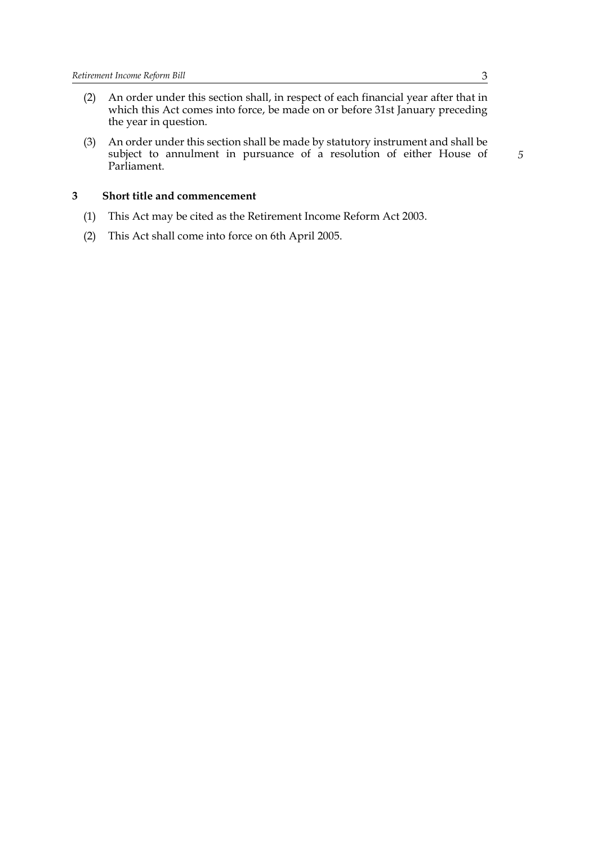- (2) An order under this section shall, in respect of each financial year after that in which this Act comes into force, be made on or before 31st January preceding the year in question.
- (3) An order under this section shall be made by statutory instrument and shall be subject to annulment in pursuance of a resolution of either House of Parliament.

### **3 Short title and commencement**

- (1) This Act may be cited as the Retirement Income Reform Act 2003.
- (2) This Act shall come into force on 6th April 2005.

*5*